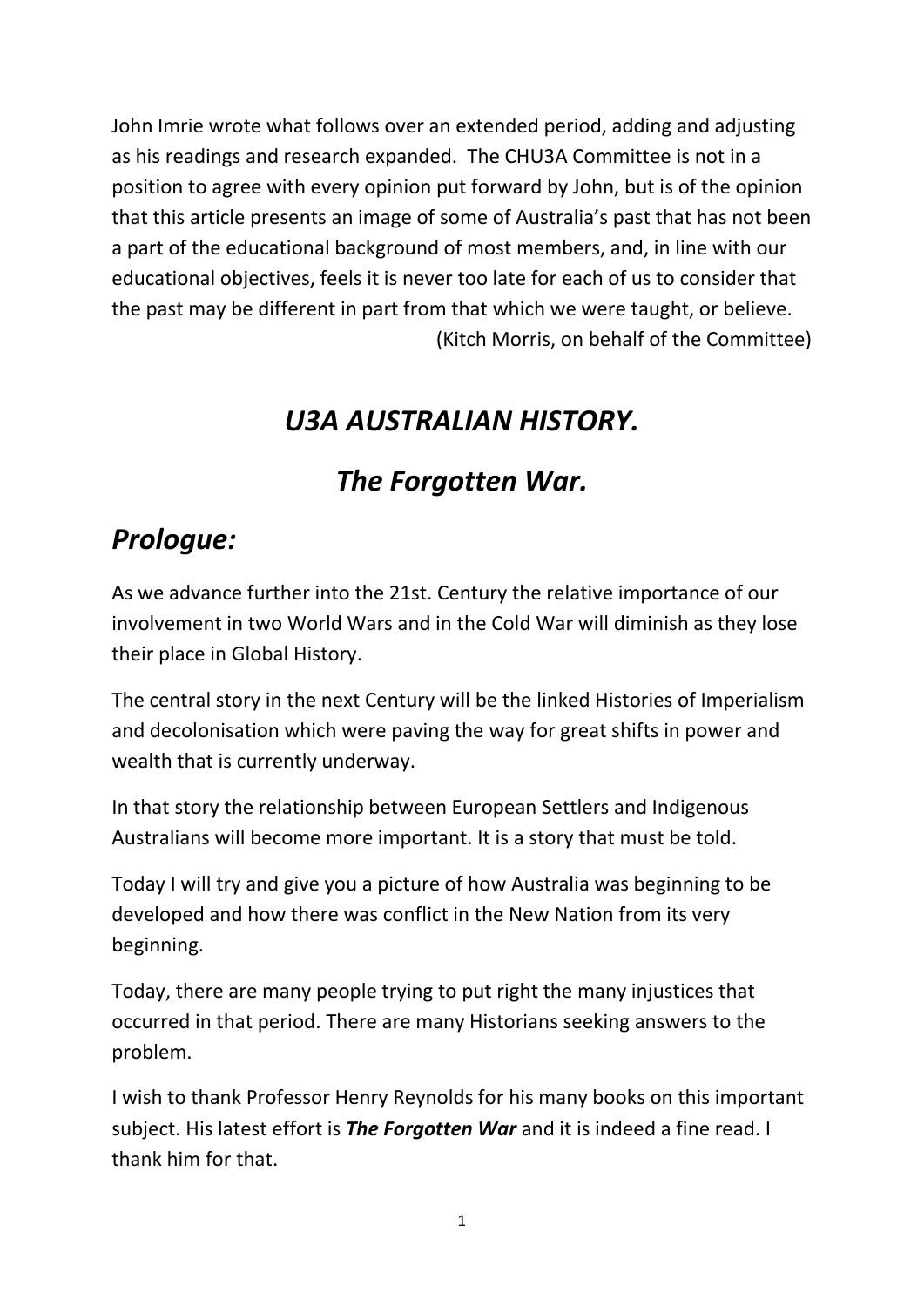John Imrie wrote what follows over an extended period, adding and adjusting as his readings and research expanded. The CHU3A Committee is not in a position to agree with every opinion put forward by John, but is of the opinion that this article presents an image of some of Australia's past that has not been a part of the educational background of most members, and, in line with our educational objectives, feels it is never too late for each of us to consider that the past may be different in part from that which we were taught, or believe. (Kitch Morris, on behalf of the Committee)

## *U3A AUSTRALIAN HISTORY.*

# *The Forgotten War.*

## *Prologue:*

As we advance further into the 21st. Century the relative importance of our involvement in two World Wars and in the Cold War will diminish as they lose their place in Global History.

The central story in the next Century will be the linked Histories of Imperialism and decolonisation which were paving the way for great shifts in power and wealth that is currently underway.

In that story the relationship between European Settlers and Indigenous Australians will become more important. It is a story that must be told.

Today I will try and give you a picture of how Australia was beginning to be developed and how there was conflict in the New Nation from its very beginning.

Today, there are many people trying to put right the many injustices that occurred in that period. There are many Historians seeking answers to the problem.

I wish to thank Professor Henry Reynolds for his many books on this important subject. His latest effort is *The Forgotten War* and it is indeed a fine read. I thank him for that.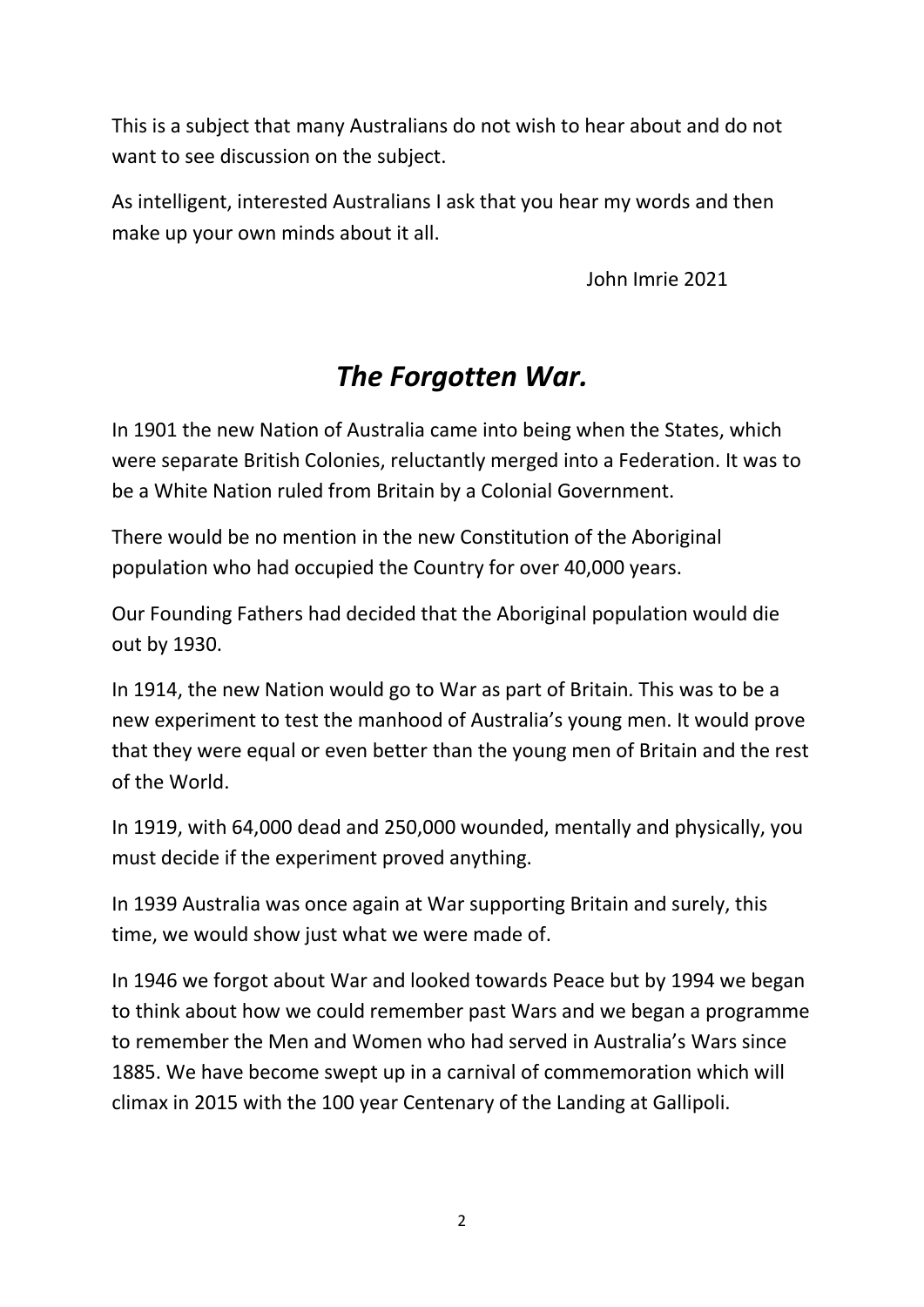This is a subject that many Australians do not wish to hear about and do not want to see discussion on the subject.

As intelligent, interested Australians I ask that you hear my words and then make up your own minds about it all.

John Imrie 2021

## *The Forgotten War.*

In 1901 the new Nation of Australia came into being when the States, which were separate British Colonies, reluctantly merged into a Federation. It was to be a White Nation ruled from Britain by a Colonial Government.

There would be no mention in the new Constitution of the Aboriginal population who had occupied the Country for over 40,000 years.

Our Founding Fathers had decided that the Aboriginal population would die out by 1930.

In 1914, the new Nation would go to War as part of Britain. This was to be a new experiment to test the manhood of Australia's young men. It would prove that they were equal or even better than the young men of Britain and the rest of the World.

In 1919, with 64,000 dead and 250,000 wounded, mentally and physically, you must decide if the experiment proved anything.

In 1939 Australia was once again at War supporting Britain and surely, this time, we would show just what we were made of.

In 1946 we forgot about War and looked towards Peace but by 1994 we began to think about how we could remember past Wars and we began a programme to remember the Men and Women who had served in Australia's Wars since 1885. We have become swept up in a carnival of commemoration which will climax in 2015 with the 100 year Centenary of the Landing at Gallipoli.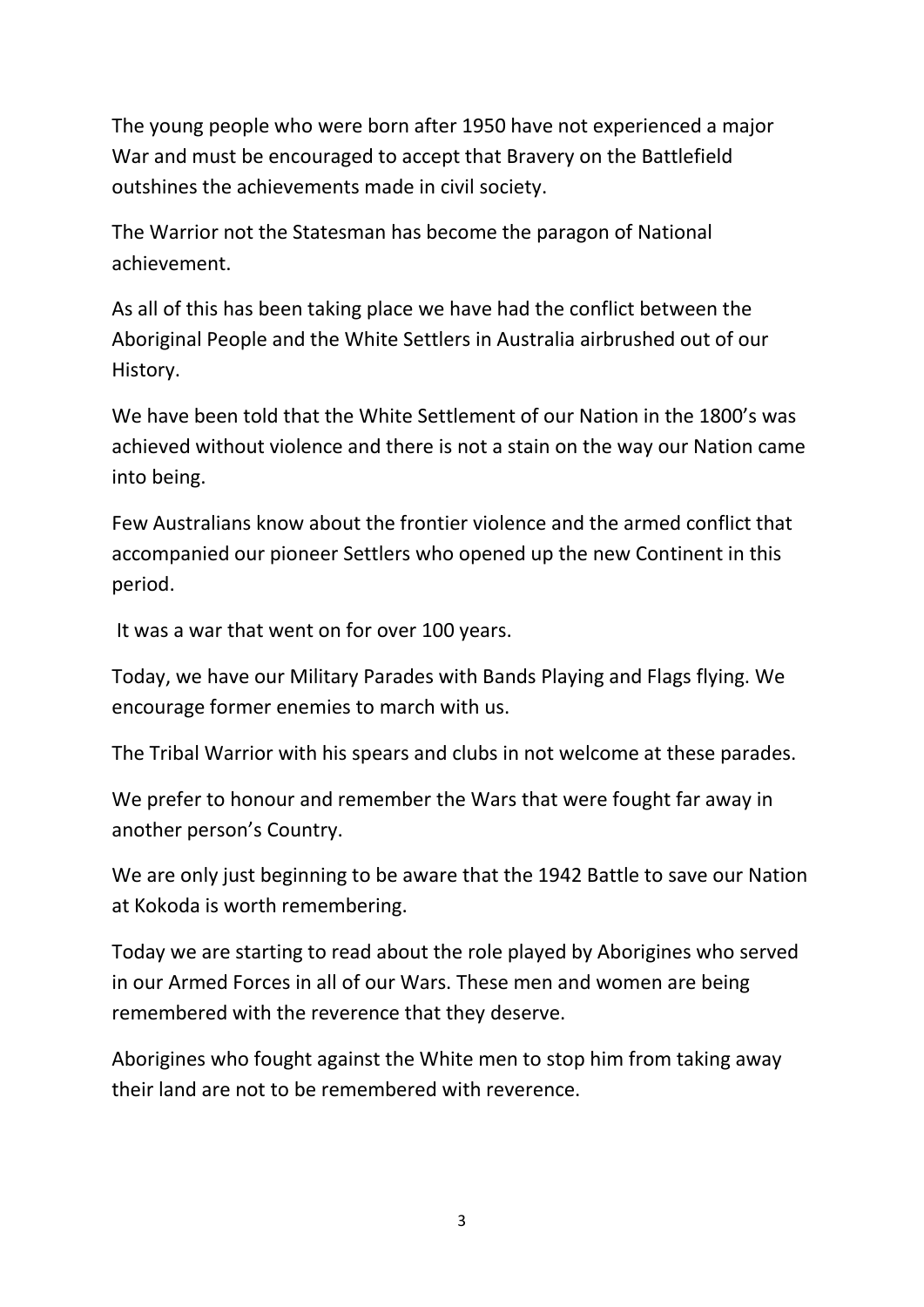The young people who were born after 1950 have not experienced a major War and must be encouraged to accept that Bravery on the Battlefield outshines the achievements made in civil society.

The Warrior not the Statesman has become the paragon of National achievement.

As all of this has been taking place we have had the conflict between the Aboriginal People and the White Settlers in Australia airbrushed out of our History.

We have been told that the White Settlement of our Nation in the 1800's was achieved without violence and there is not a stain on the way our Nation came into being.

Few Australians know about the frontier violence and the armed conflict that accompanied our pioneer Settlers who opened up the new Continent in this period.

It was a war that went on for over 100 years.

Today, we have our Military Parades with Bands Playing and Flags flying. We encourage former enemies to march with us.

The Tribal Warrior with his spears and clubs in not welcome at these parades.

We prefer to honour and remember the Wars that were fought far away in another person's Country.

We are only just beginning to be aware that the 1942 Battle to save our Nation at Kokoda is worth remembering.

Today we are starting to read about the role played by Aborigines who served in our Armed Forces in all of our Wars. These men and women are being remembered with the reverence that they deserve.

Aborigines who fought against the White men to stop him from taking away their land are not to be remembered with reverence.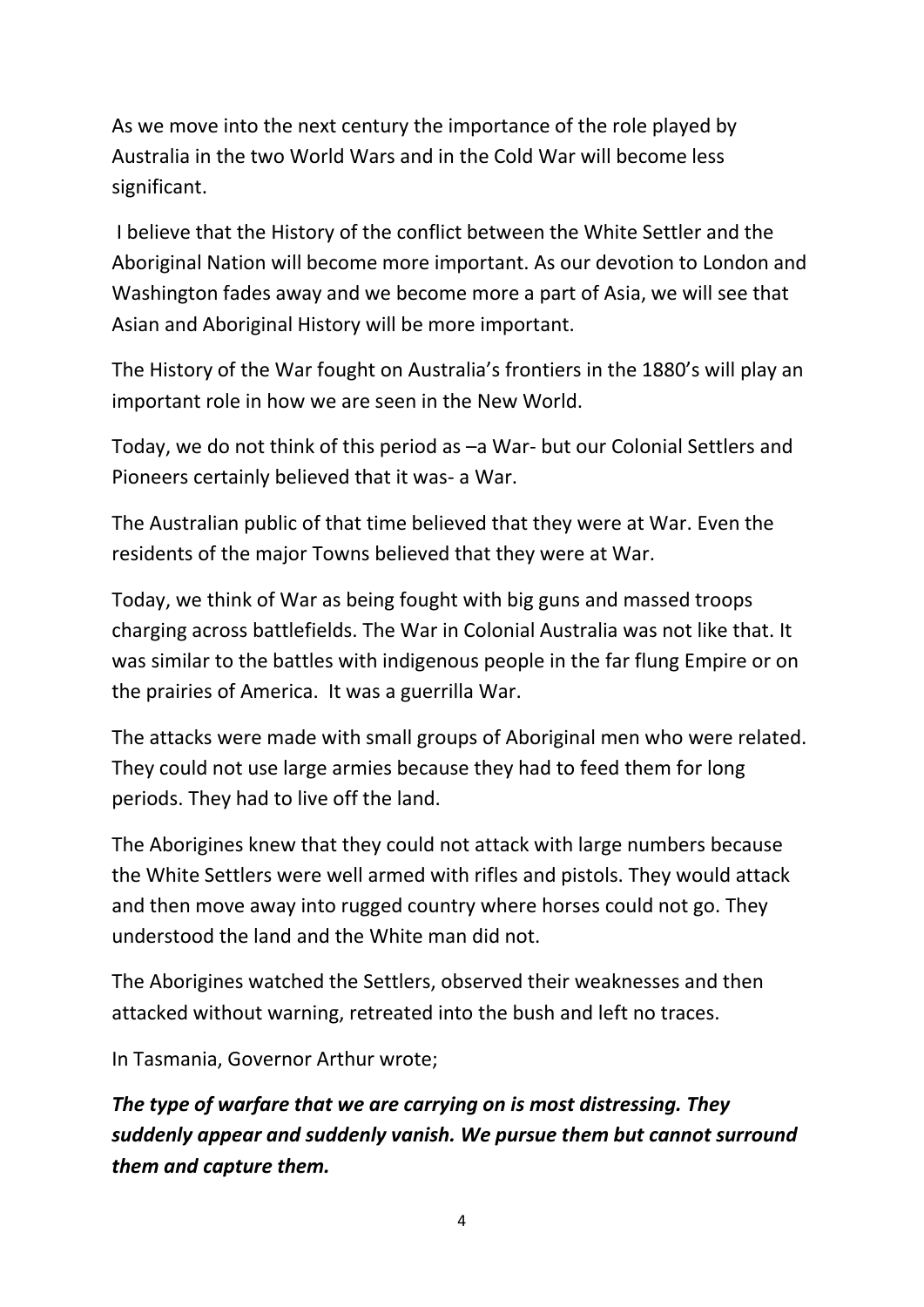As we move into the next century the importance of the role played by Australia in the two World Wars and in the Cold War will become less significant.

I believe that the History of the conflict between the White Settler and the Aboriginal Nation will become more important. As our devotion to London and Washington fades away and we become more a part of Asia, we will see that Asian and Aboriginal History will be more important.

The History of the War fought on Australia's frontiers in the 1880's will play an important role in how we are seen in the New World.

Today, we do not think of this period as –a War- but our Colonial Settlers and Pioneers certainly believed that it was- a War.

The Australian public of that time believed that they were at War. Even the residents of the major Towns believed that they were at War.

Today, we think of War as being fought with big guns and massed troops charging across battlefields. The War in Colonial Australia was not like that. It was similar to the battles with indigenous people in the far flung Empire or on the prairies of America. It was a guerrilla War.

The attacks were made with small groups of Aboriginal men who were related. They could not use large armies because they had to feed them for long periods. They had to live off the land.

The Aborigines knew that they could not attack with large numbers because the White Settlers were well armed with rifles and pistols. They would attack and then move away into rugged country where horses could not go. They understood the land and the White man did not.

The Aborigines watched the Settlers, observed their weaknesses and then attacked without warning, retreated into the bush and left no traces.

In Tasmania, Governor Arthur wrote;

*The type of warfare that we are carrying on is most distressing. They suddenly appear and suddenly vanish. We pursue them but cannot surround them and capture them.*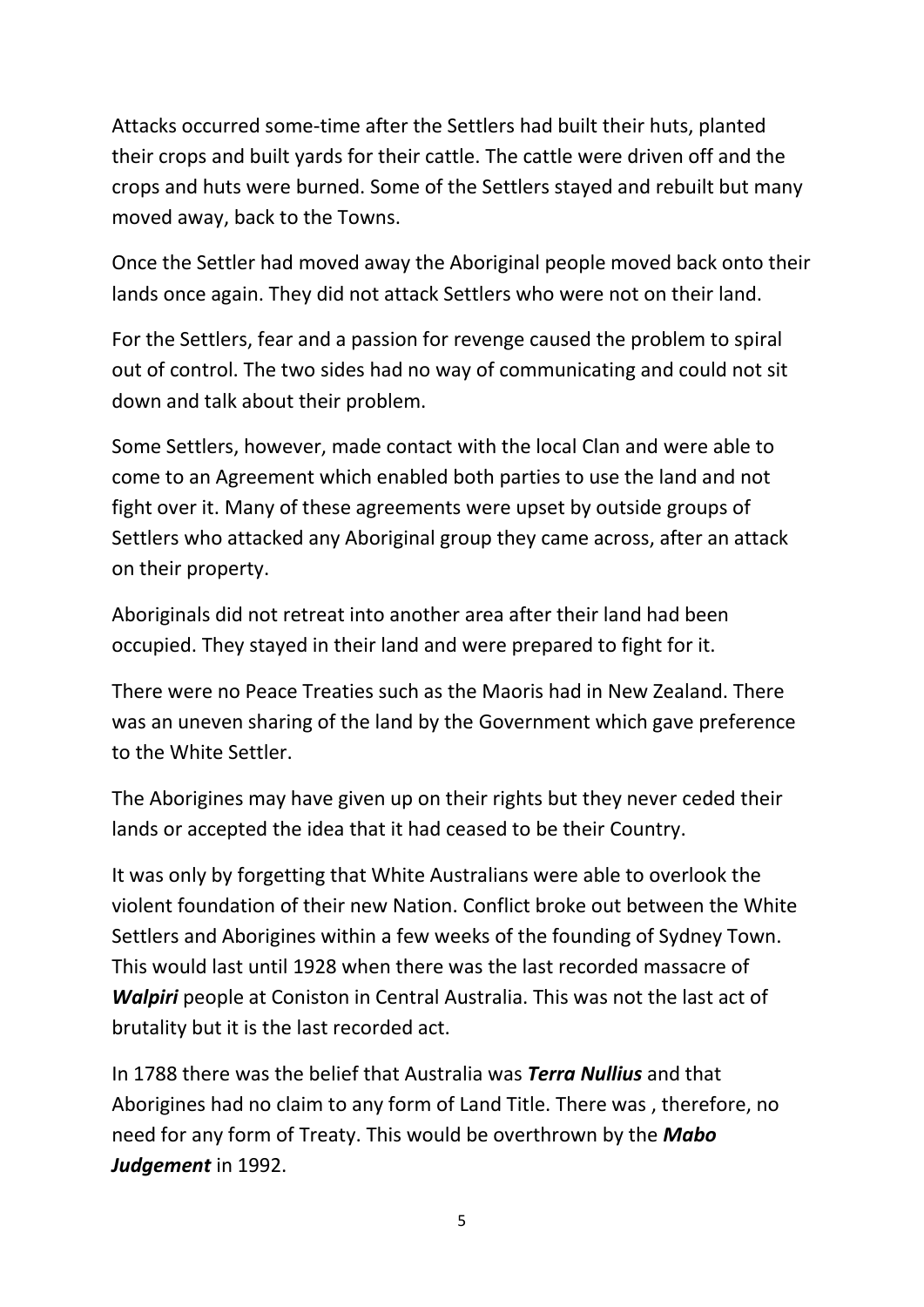Attacks occurred some-time after the Settlers had built their huts, planted their crops and built yards for their cattle. The cattle were driven off and the crops and huts were burned. Some of the Settlers stayed and rebuilt but many moved away, back to the Towns.

Once the Settler had moved away the Aboriginal people moved back onto their lands once again. They did not attack Settlers who were not on their land.

For the Settlers, fear and a passion for revenge caused the problem to spiral out of control. The two sides had no way of communicating and could not sit down and talk about their problem.

Some Settlers, however, made contact with the local Clan and were able to come to an Agreement which enabled both parties to use the land and not fight over it. Many of these agreements were upset by outside groups of Settlers who attacked any Aboriginal group they came across, after an attack on their property.

Aboriginals did not retreat into another area after their land had been occupied. They stayed in their land and were prepared to fight for it.

There were no Peace Treaties such as the Maoris had in New Zealand. There was an uneven sharing of the land by the Government which gave preference to the White Settler.

The Aborigines may have given up on their rights but they never ceded their lands or accepted the idea that it had ceased to be their Country.

It was only by forgetting that White Australians were able to overlook the violent foundation of their new Nation. Conflict broke out between the White Settlers and Aborigines within a few weeks of the founding of Sydney Town. This would last until 1928 when there was the last recorded massacre of *Walpiri* people at Coniston in Central Australia. This was not the last act of brutality but it is the last recorded act.

In 1788 there was the belief that Australia was *Terra Nullius* and that Aborigines had no claim to any form of Land Title. There was , therefore, no need for any form of Treaty. This would be overthrown by the *Mabo Judgement* in 1992.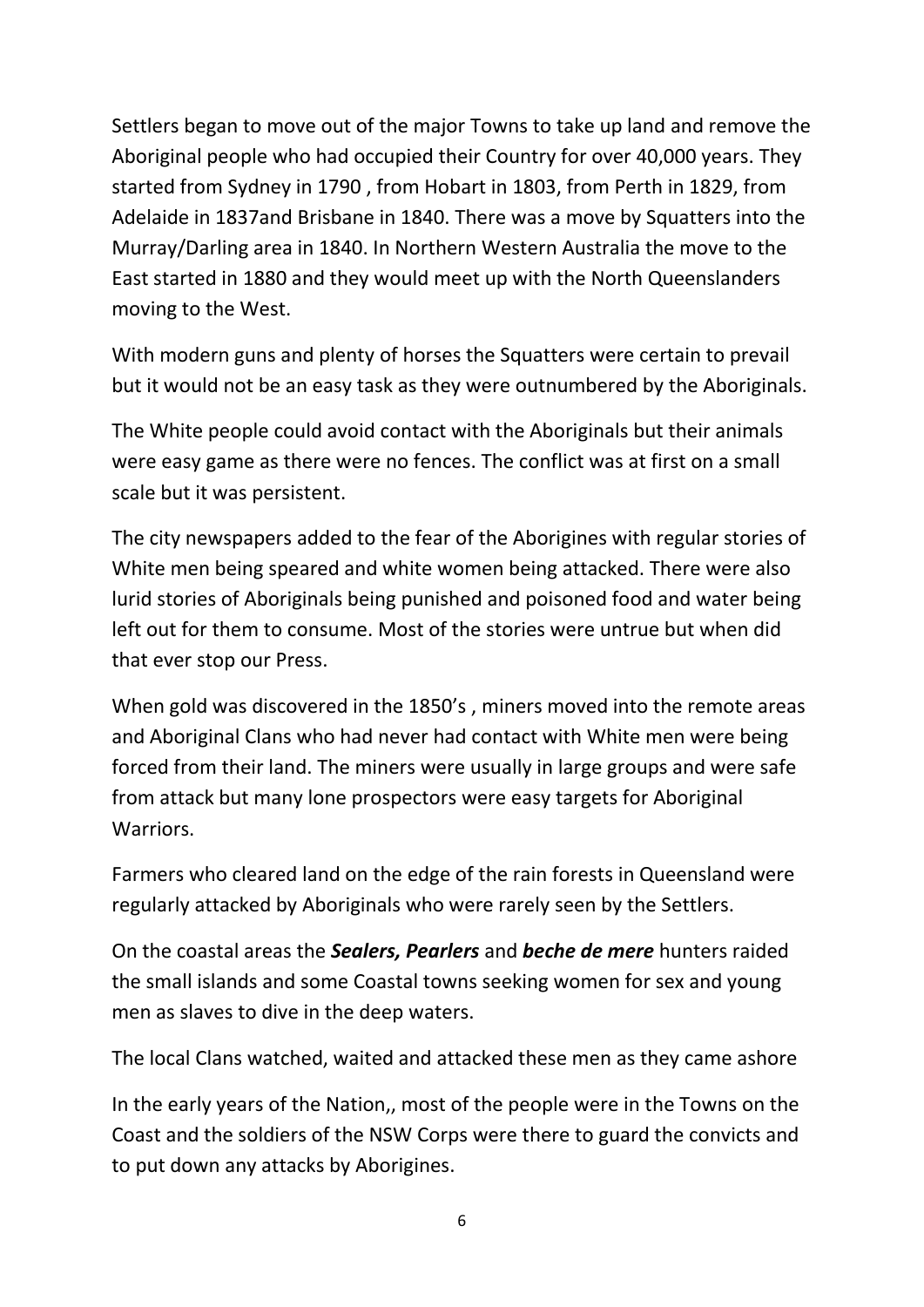Settlers began to move out of the major Towns to take up land and remove the Aboriginal people who had occupied their Country for over 40,000 years. They started from Sydney in 1790 , from Hobart in 1803, from Perth in 1829, from Adelaide in 1837and Brisbane in 1840. There was a move by Squatters into the Murray/Darling area in 1840. In Northern Western Australia the move to the East started in 1880 and they would meet up with the North Queenslanders moving to the West.

With modern guns and plenty of horses the Squatters were certain to prevail but it would not be an easy task as they were outnumbered by the Aboriginals.

The White people could avoid contact with the Aboriginals but their animals were easy game as there were no fences. The conflict was at first on a small scale but it was persistent.

The city newspapers added to the fear of the Aborigines with regular stories of White men being speared and white women being attacked. There were also lurid stories of Aboriginals being punished and poisoned food and water being left out for them to consume. Most of the stories were untrue but when did that ever stop our Press.

When gold was discovered in the 1850's , miners moved into the remote areas and Aboriginal Clans who had never had contact with White men were being forced from their land. The miners were usually in large groups and were safe from attack but many lone prospectors were easy targets for Aboriginal **Warriors** 

Farmers who cleared land on the edge of the rain forests in Queensland were regularly attacked by Aboriginals who were rarely seen by the Settlers.

On the coastal areas the *Sealers, Pearlers* and *beche de mere* hunters raided the small islands and some Coastal towns seeking women for sex and young men as slaves to dive in the deep waters.

The local Clans watched, waited and attacked these men as they came ashore

In the early years of the Nation,, most of the people were in the Towns on the Coast and the soldiers of the NSW Corps were there to guard the convicts and to put down any attacks by Aborigines.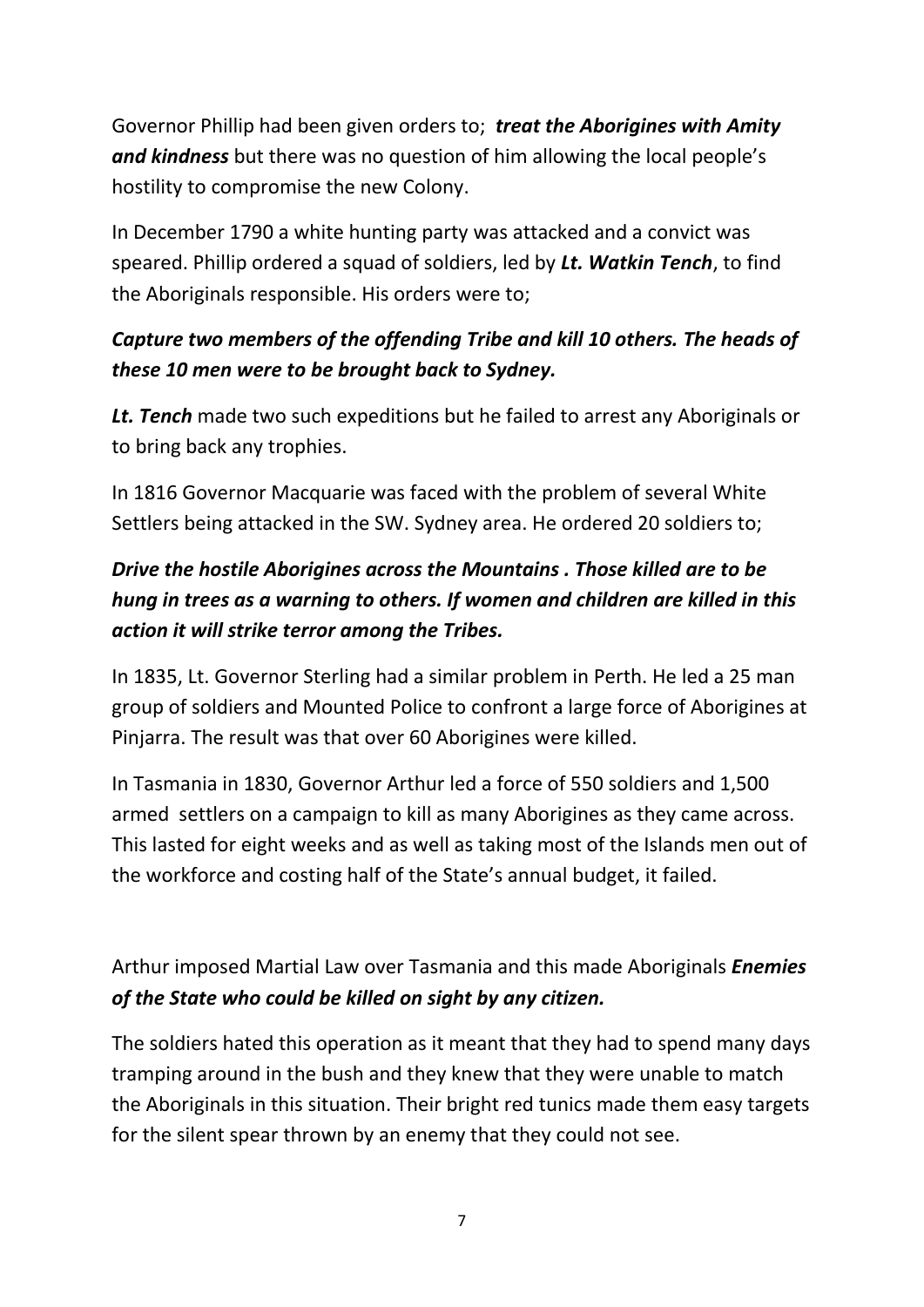Governor Phillip had been given orders to; *treat the Aborigines with Amity and kindness* but there was no question of him allowing the local people's hostility to compromise the new Colony.

In December 1790 a white hunting party was attacked and a convict was speared. Phillip ordered a squad of soldiers, led by *Lt. Watkin Tench*, to find the Aboriginals responsible. His orders were to;

## *Capture two members of the offending Tribe and kill 10 others. The heads of these 10 men were to be brought back to Sydney.*

*Lt. Tench* made two such expeditions but he failed to arrest any Aboriginals or to bring back any trophies.

In 1816 Governor Macquarie was faced with the problem of several White Settlers being attacked in the SW. Sydney area. He ordered 20 soldiers to;

## *Drive the hostile Aborigines across the Mountains . Those killed are to be hung in trees as a warning to others. If women and children are killed in this action it will strike terror among the Tribes.*

In 1835, Lt. Governor Sterling had a similar problem in Perth. He led a 25 man group of soldiers and Mounted Police to confront a large force of Aborigines at Pinjarra. The result was that over 60 Aborigines were killed.

In Tasmania in 1830, Governor Arthur led a force of 550 soldiers and 1,500 armed settlers on a campaign to kill as many Aborigines as they came across. This lasted for eight weeks and as well as taking most of the Islands men out of the workforce and costing half of the State's annual budget, it failed.

Arthur imposed Martial Law over Tasmania and this made Aboriginals *Enemies of the State who could be killed on sight by any citizen.*

The soldiers hated this operation as it meant that they had to spend many days tramping around in the bush and they knew that they were unable to match the Aboriginals in this situation. Their bright red tunics made them easy targets for the silent spear thrown by an enemy that they could not see.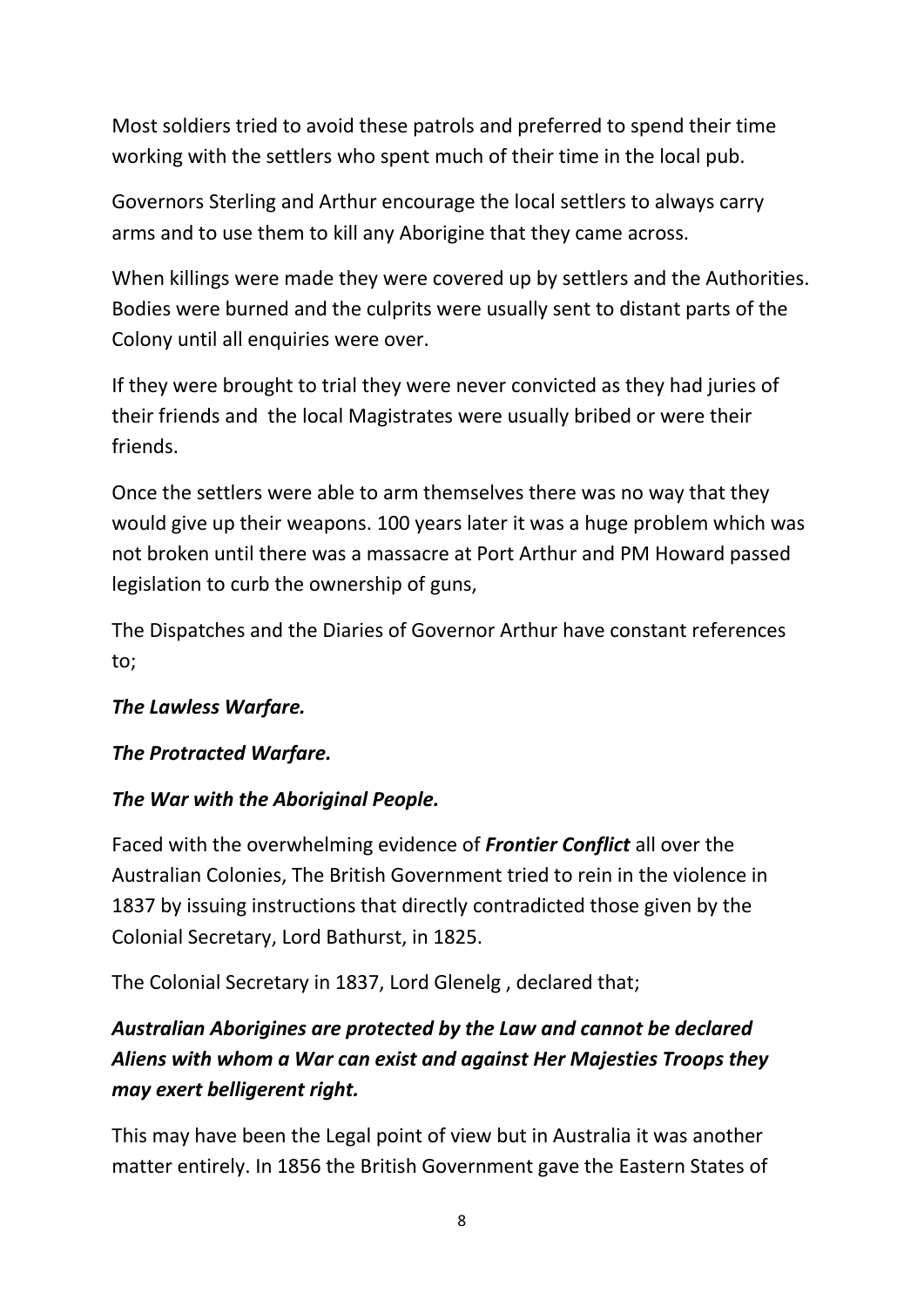Most soldiers tried to avoid these patrols and preferred to spend their time working with the settlers who spent much of their time in the local pub.

Governors Sterling and Arthur encourage the local settlers to always carry arms and to use them to kill any Aborigine that they came across.

When killings were made they were covered up by settlers and the Authorities. Bodies were burned and the culprits were usually sent to distant parts of the Colony until all enquiries were over.

If they were brought to trial they were never convicted as they had juries of their friends and the local Magistrates were usually bribed or were their friends.

Once the settlers were able to arm themselves there was no way that they would give up their weapons. 100 years later it was a huge problem which was not broken until there was a massacre at Port Arthur and PM Howard passed legislation to curb the ownership of guns,

The Dispatches and the Diaries of Governor Arthur have constant references to;

#### *The Lawless Warfare.*

#### *The Protracted Warfare.*

#### *The War with the Aboriginal People.*

Faced with the overwhelming evidence of *Frontier Conflict* all over the Australian Colonies, The British Government tried to rein in the violence in 1837 by issuing instructions that directly contradicted those given by the Colonial Secretary, Lord Bathurst, in 1825.

The Colonial Secretary in 1837, Lord Glenelg , declared that;

## *Australian Aborigines are protected by the Law and cannot be declared Aliens with whom a War can exist and against Her Majesties Troops they may exert belligerent right.*

This may have been the Legal point of view but in Australia it was another matter entirely. In 1856 the British Government gave the Eastern States of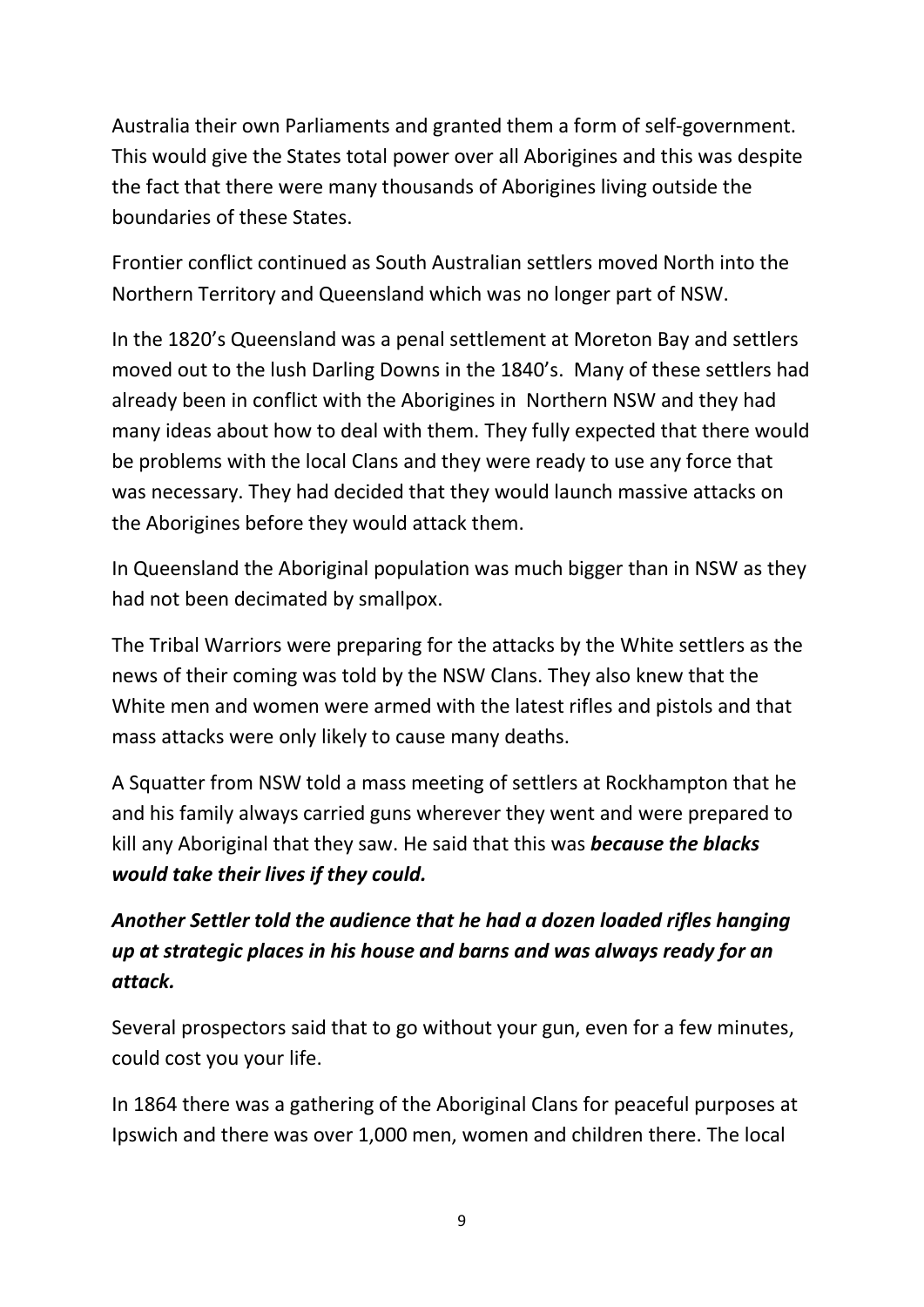Australia their own Parliaments and granted them a form of self-government. This would give the States total power over all Aborigines and this was despite the fact that there were many thousands of Aborigines living outside the boundaries of these States.

Frontier conflict continued as South Australian settlers moved North into the Northern Territory and Queensland which was no longer part of NSW.

In the 1820's Queensland was a penal settlement at Moreton Bay and settlers moved out to the lush Darling Downs in the 1840's. Many of these settlers had already been in conflict with the Aborigines in Northern NSW and they had many ideas about how to deal with them. They fully expected that there would be problems with the local Clans and they were ready to use any force that was necessary. They had decided that they would launch massive attacks on the Aborigines before they would attack them.

In Queensland the Aboriginal population was much bigger than in NSW as they had not been decimated by smallpox.

The Tribal Warriors were preparing for the attacks by the White settlers as the news of their coming was told by the NSW Clans. They also knew that the White men and women were armed with the latest rifles and pistols and that mass attacks were only likely to cause many deaths.

A Squatter from NSW told a mass meeting of settlers at Rockhampton that he and his family always carried guns wherever they went and were prepared to kill any Aboriginal that they saw. He said that this was *because the blacks would take their lives if they could.*

## *Another Settler told the audience that he had a dozen loaded rifles hanging up at strategic places in his house and barns and was always ready for an attack.*

Several prospectors said that to go without your gun, even for a few minutes, could cost you your life.

In 1864 there was a gathering of the Aboriginal Clans for peaceful purposes at Ipswich and there was over 1,000 men, women and children there. The local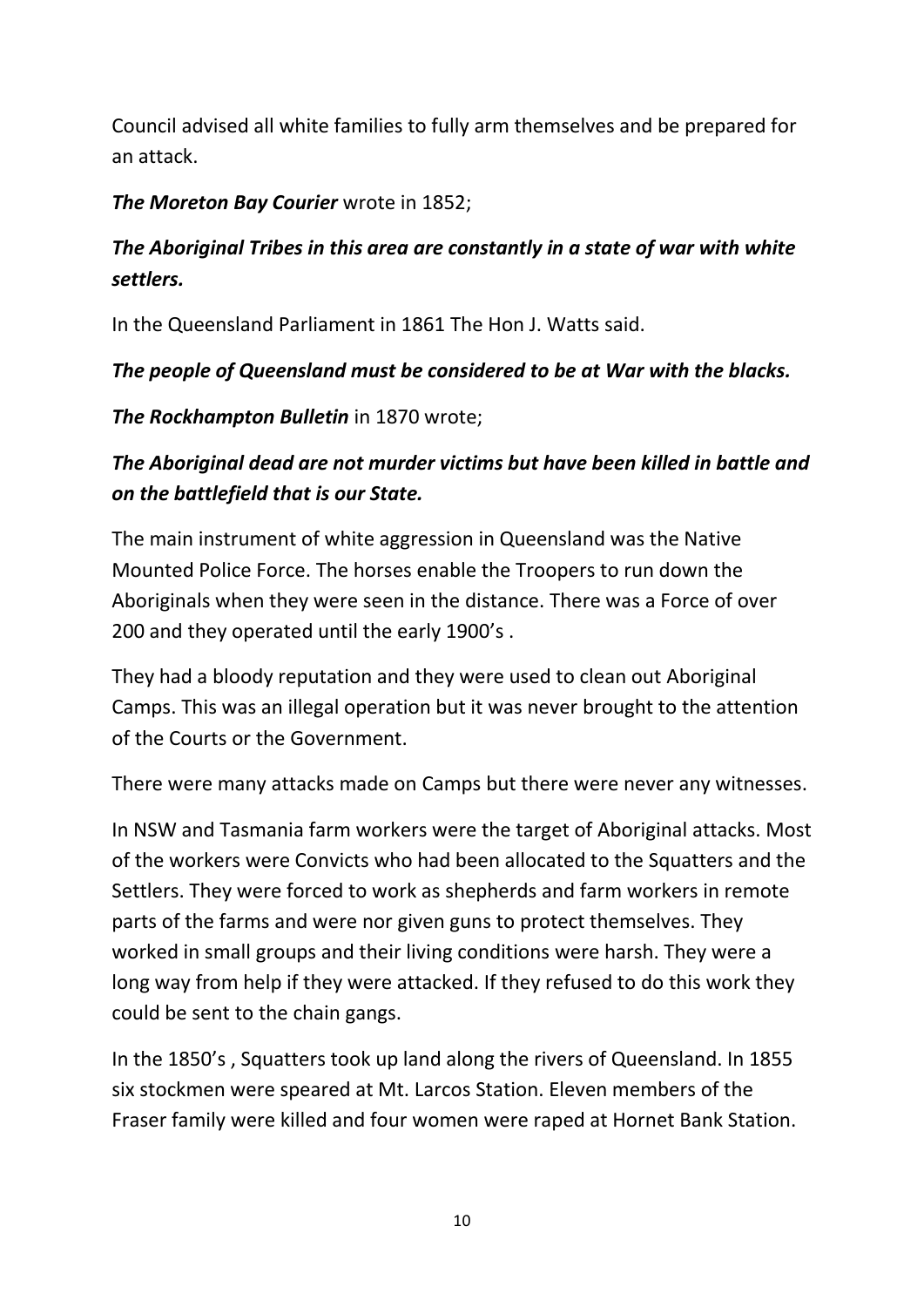Council advised all white families to fully arm themselves and be prepared for an attack.

#### *The Moreton Bay Courier* wrote in 1852;

## *The Aboriginal Tribes in this area are constantly in a state of war with white settlers.*

In the Queensland Parliament in 1861 The Hon J. Watts said.

#### *The people of Queensland must be considered to be at War with the blacks.*

*The Rockhampton Bulletin* in 1870 wrote;

### *The Aboriginal dead are not murder victims but have been killed in battle and on the battlefield that is our State.*

The main instrument of white aggression in Queensland was the Native Mounted Police Force. The horses enable the Troopers to run down the Aboriginals when they were seen in the distance. There was a Force of over 200 and they operated until the early 1900's .

They had a bloody reputation and they were used to clean out Aboriginal Camps. This was an illegal operation but it was never brought to the attention of the Courts or the Government.

There were many attacks made on Camps but there were never any witnesses.

In NSW and Tasmania farm workers were the target of Aboriginal attacks. Most of the workers were Convicts who had been allocated to the Squatters and the Settlers. They were forced to work as shepherds and farm workers in remote parts of the farms and were nor given guns to protect themselves. They worked in small groups and their living conditions were harsh. They were a long way from help if they were attacked. If they refused to do this work they could be sent to the chain gangs.

In the 1850's , Squatters took up land along the rivers of Queensland. In 1855 six stockmen were speared at Mt. Larcos Station. Eleven members of the Fraser family were killed and four women were raped at Hornet Bank Station.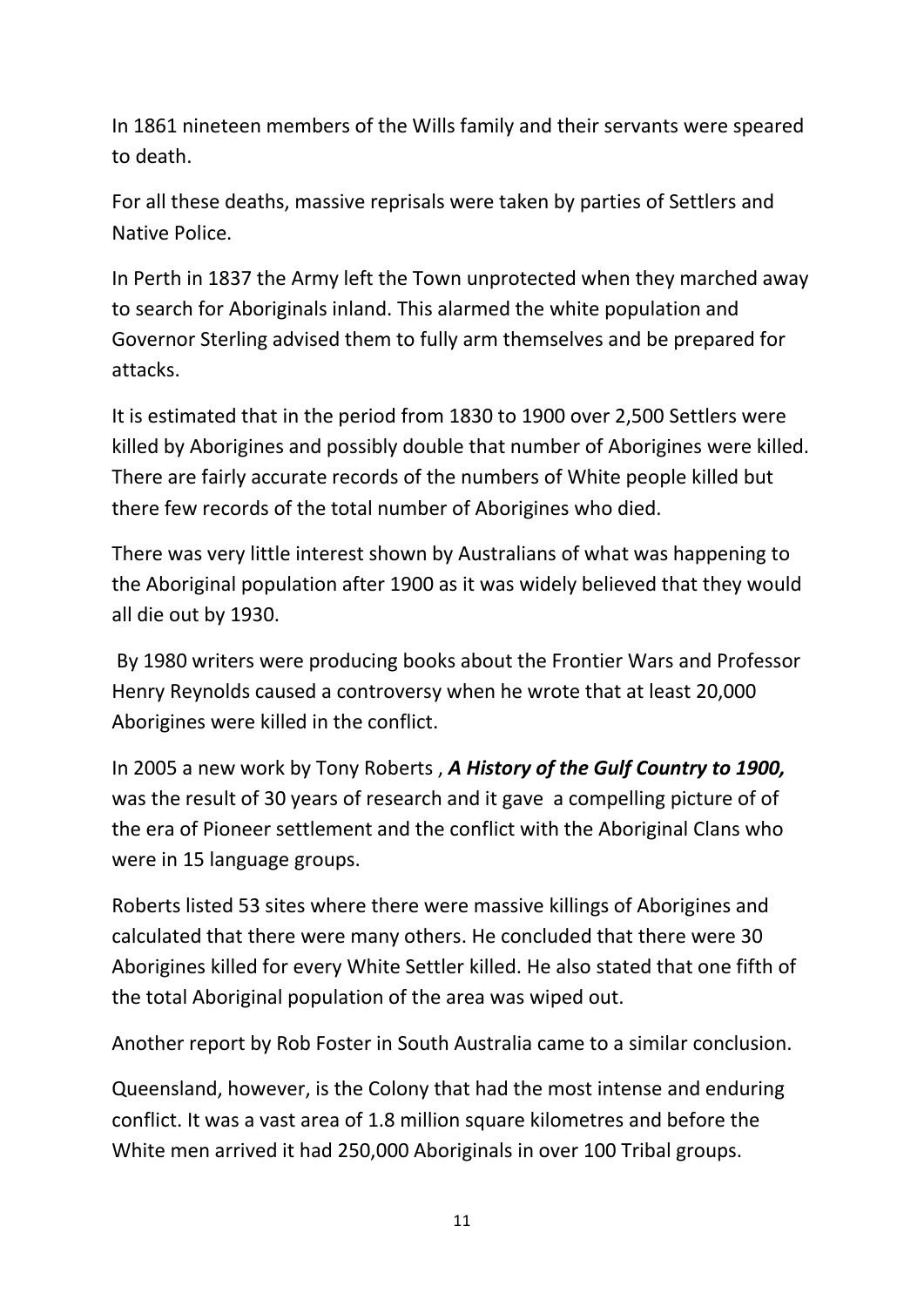In 1861 nineteen members of the Wills family and their servants were speared to death.

For all these deaths, massive reprisals were taken by parties of Settlers and Native Police.

In Perth in 1837 the Army left the Town unprotected when they marched away to search for Aboriginals inland. This alarmed the white population and Governor Sterling advised them to fully arm themselves and be prepared for attacks.

It is estimated that in the period from 1830 to 1900 over 2,500 Settlers were killed by Aborigines and possibly double that number of Aborigines were killed. There are fairly accurate records of the numbers of White people killed but there few records of the total number of Aborigines who died.

There was very little interest shown by Australians of what was happening to the Aboriginal population after 1900 as it was widely believed that they would all die out by 1930.

By 1980 writers were producing books about the Frontier Wars and Professor Henry Reynolds caused a controversy when he wrote that at least 20,000 Aborigines were killed in the conflict.

In 2005 a new work by Tony Roberts , *A History of the Gulf Country to 1900,*  was the result of 30 years of research and it gave a compelling picture of of the era of Pioneer settlement and the conflict with the Aboriginal Clans who were in 15 language groups.

Roberts listed 53 sites where there were massive killings of Aborigines and calculated that there were many others. He concluded that there were 30 Aborigines killed for every White Settler killed. He also stated that one fifth of the total Aboriginal population of the area was wiped out.

Another report by Rob Foster in South Australia came to a similar conclusion.

Queensland, however, is the Colony that had the most intense and enduring conflict. It was a vast area of 1.8 million square kilometres and before the White men arrived it had 250,000 Aboriginals in over 100 Tribal groups.